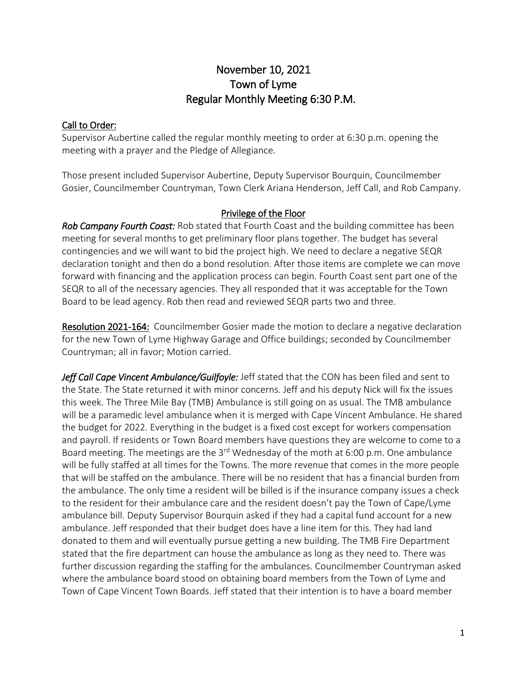# November 10, 2021 Town of Lyme Regular Monthly Meeting 6:30 P.M.

## Call to Order:

Supervisor Aubertine called the regular monthly meeting to order at 6:30 p.m. opening the meeting with a prayer and the Pledge of Allegiance.

Those present included Supervisor Aubertine, Deputy Supervisor Bourquin, Councilmember Gosier, Councilmember Countryman, Town Clerk Ariana Henderson, Jeff Call, and Rob Campany.

## Privilege of the Floor

*Rob Campany Fourth Coast:* Rob stated that Fourth Coast and the building committee has been meeting for several months to get preliminary floor plans together. The budget has several contingencies and we will want to bid the project high. We need to declare a negative SEQR declaration tonight and then do a bond resolution. After those items are complete we can move forward with financing and the application process can begin. Fourth Coast sent part one of the SEQR to all of the necessary agencies. They all responded that it was acceptable for the Town Board to be lead agency. Rob then read and reviewed SEQR parts two and three.

Resolution 2021-164: Councilmember Gosier made the motion to declare a negative declaration for the new Town of Lyme Highway Garage and Office buildings; seconded by Councilmember Countryman; all in favor; Motion carried.

*Jeff Call Cape Vincent Ambulance/Guilfoyle:* Jeff stated that the CON has been filed and sent to the State. The State returned it with minor concerns. Jeff and his deputy Nick will fix the issues this week. The Three Mile Bay (TMB) Ambulance is still going on as usual. The TMB ambulance will be a paramedic level ambulance when it is merged with Cape Vincent Ambulance. He shared the budget for 2022. Everything in the budget is a fixed cost except for workers compensation and payroll. If residents or Town Board members have questions they are welcome to come to a Board meeting. The meetings are the  $3<sup>rd</sup>$  Wednesday of the moth at 6:00 p.m. One ambulance will be fully staffed at all times for the Towns. The more revenue that comes in the more people that will be staffed on the ambulance. There will be no resident that has a financial burden from the ambulance. The only time a resident will be billed is if the insurance company issues a check to the resident for their ambulance care and the resident doesn't pay the Town of Cape/Lyme ambulance bill. Deputy Supervisor Bourquin asked if they had a capital fund account for a new ambulance. Jeff responded that their budget does have a line item for this. They had land donated to them and will eventually pursue getting a new building. The TMB Fire Department stated that the fire department can house the ambulance as long as they need to. There was further discussion regarding the staffing for the ambulances. Councilmember Countryman asked where the ambulance board stood on obtaining board members from the Town of Lyme and Town of Cape Vincent Town Boards. Jeff stated that their intention is to have a board member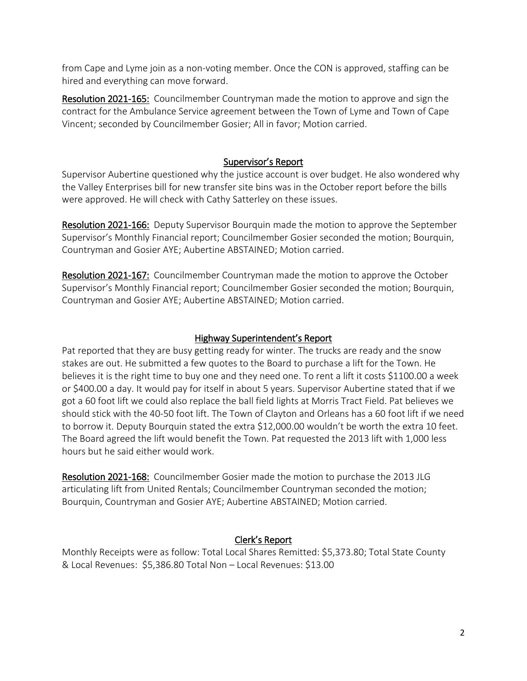from Cape and Lyme join as a non-voting member. Once the CON is approved, staffing can be hired and everything can move forward.

Resolution 2021-165: Councilmember Countryman made the motion to approve and sign the contract for the Ambulance Service agreement between the Town of Lyme and Town of Cape Vincent; seconded by Councilmember Gosier; All in favor; Motion carried.

## Supervisor's Report

Supervisor Aubertine questioned why the justice account is over budget. He also wondered why the Valley Enterprises bill for new transfer site bins was in the October report before the bills were approved. He will check with Cathy Satterley on these issues.

Resolution 2021-166: Deputy Supervisor Bourquin made the motion to approve the September Supervisor's Monthly Financial report; Councilmember Gosier seconded the motion; Bourquin, Countryman and Gosier AYE; Aubertine ABSTAINED; Motion carried.

Resolution 2021-167: Councilmember Countryman made the motion to approve the October Supervisor's Monthly Financial report; Councilmember Gosier seconded the motion; Bourquin, Countryman and Gosier AYE; Aubertine ABSTAINED; Motion carried.

#### Highway Superintendent's Report

Pat reported that they are busy getting ready for winter. The trucks are ready and the snow stakes are out. He submitted a few quotes to the Board to purchase a lift for the Town. He believes it is the right time to buy one and they need one. To rent a lift it costs \$1100.00 a week or \$400.00 a day. It would pay for itself in about 5 years. Supervisor Aubertine stated that if we got a 60 foot lift we could also replace the ball field lights at Morris Tract Field. Pat believes we should stick with the 40-50 foot lift. The Town of Clayton and Orleans has a 60 foot lift if we need to borrow it. Deputy Bourquin stated the extra \$12,000.00 wouldn't be worth the extra 10 feet. The Board agreed the lift would benefit the Town. Pat requested the 2013 lift with 1,000 less hours but he said either would work.

Resolution 2021-168: Councilmember Gosier made the motion to purchase the 2013 JLG articulating lift from United Rentals; Councilmember Countryman seconded the motion; Bourquin, Countryman and Gosier AYE; Aubertine ABSTAINED; Motion carried.

## Clerk's Report

Monthly Receipts were as follow: Total Local Shares Remitted: \$5,373.80; Total State County & Local Revenues: \$5,386.80 Total Non – Local Revenues: \$13.00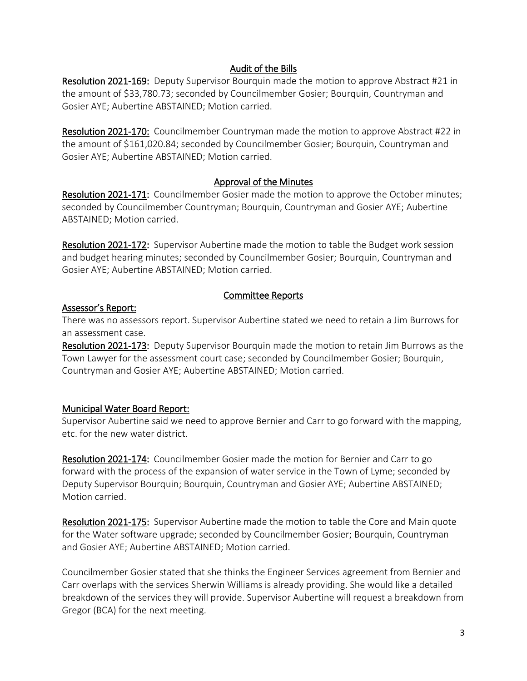## Audit of the Bills

Resolution 2021-169: Deputy Supervisor Bourquin made the motion to approve Abstract #21 in the amount of \$33,780.73; seconded by Councilmember Gosier; Bourquin, Countryman and Gosier AYE; Aubertine ABSTAINED; Motion carried.

Resolution 2021-170: Councilmember Countryman made the motion to approve Abstract #22 in the amount of \$161,020.84; seconded by Councilmember Gosier; Bourquin, Countryman and Gosier AYE; Aubertine ABSTAINED; Motion carried.

## Approval of the Minutes

Resolution 2021-171: Councilmember Gosier made the motion to approve the October minutes; seconded by Councilmember Countryman; Bourquin, Countryman and Gosier AYE; Aubertine ABSTAINED; Motion carried.

Resolution 2021-172: Supervisor Aubertine made the motion to table the Budget work session and budget hearing minutes; seconded by Councilmember Gosier; Bourquin, Countryman and Gosier AYE; Aubertine ABSTAINED; Motion carried.

## Committee Reports

## Assessor's Report:

There was no assessors report. Supervisor Aubertine stated we need to retain a Jim Burrows for an assessment case.

Resolution 2021-173: Deputy Supervisor Bourquin made the motion to retain Jim Burrows as the Town Lawyer for the assessment court case; seconded by Councilmember Gosier; Bourquin, Countryman and Gosier AYE; Aubertine ABSTAINED; Motion carried.

## Municipal Water Board Report:

Supervisor Aubertine said we need to approve Bernier and Carr to go forward with the mapping, etc. for the new water district.

Resolution 2021-174: Councilmember Gosier made the motion for Bernier and Carr to go forward with the process of the expansion of water service in the Town of Lyme; seconded by Deputy Supervisor Bourquin; Bourquin, Countryman and Gosier AYE; Aubertine ABSTAINED; Motion carried.

Resolution 2021-175: Supervisor Aubertine made the motion to table the Core and Main quote for the Water software upgrade; seconded by Councilmember Gosier; Bourquin, Countryman and Gosier AYE; Aubertine ABSTAINED; Motion carried.

Councilmember Gosier stated that she thinks the Engineer Services agreement from Bernier and Carr overlaps with the services Sherwin Williams is already providing. She would like a detailed breakdown of the services they will provide. Supervisor Aubertine will request a breakdown from Gregor (BCA) for the next meeting.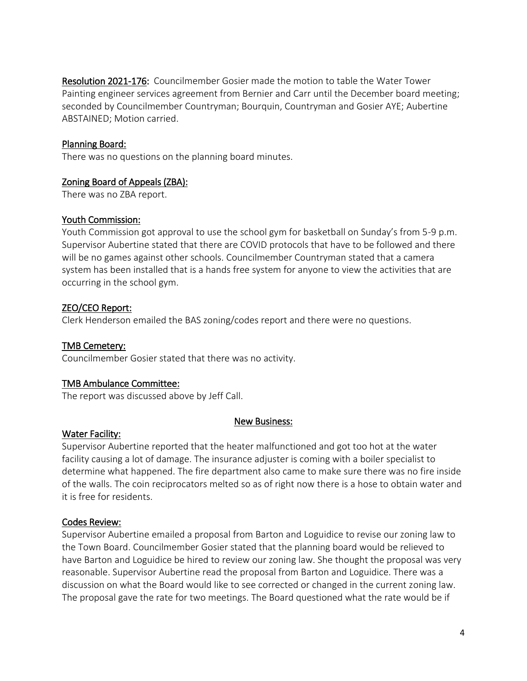Resolution 2021-176: Councilmember Gosier made the motion to table the Water Tower Painting engineer services agreement from Bernier and Carr until the December board meeting; seconded by Councilmember Countryman; Bourquin, Countryman and Gosier AYE; Aubertine ABSTAINED; Motion carried.

### Planning Board:

There was no questions on the planning board minutes.

#### Zoning Board of Appeals (ZBA):

There was no ZBA report.

#### Youth Commission:

Youth Commission got approval to use the school gym for basketball on Sunday's from 5-9 p.m. Supervisor Aubertine stated that there are COVID protocols that have to be followed and there will be no games against other schools. Councilmember Countryman stated that a camera system has been installed that is a hands free system for anyone to view the activities that are occurring in the school gym.

## ZEO/CEO Report:

Clerk Henderson emailed the BAS zoning/codes report and there were no questions.

### TMB Cemetery:

Councilmember Gosier stated that there was no activity.

#### TMB Ambulance Committee:

The report was discussed above by Jeff Call.

#### New Business:

#### **Water Facility:**

Supervisor Aubertine reported that the heater malfunctioned and got too hot at the water facility causing a lot of damage. The insurance adjuster is coming with a boiler specialist to determine what happened. The fire department also came to make sure there was no fire inside of the walls. The coin reciprocators melted so as of right now there is a hose to obtain water and it is free for residents.

#### Codes Review:

Supervisor Aubertine emailed a proposal from Barton and Loguidice to revise our zoning law to the Town Board. Councilmember Gosier stated that the planning board would be relieved to have Barton and Loguidice be hired to review our zoning law. She thought the proposal was very reasonable. Supervisor Aubertine read the proposal from Barton and Loguidice. There was a discussion on what the Board would like to see corrected or changed in the current zoning law. The proposal gave the rate for two meetings. The Board questioned what the rate would be if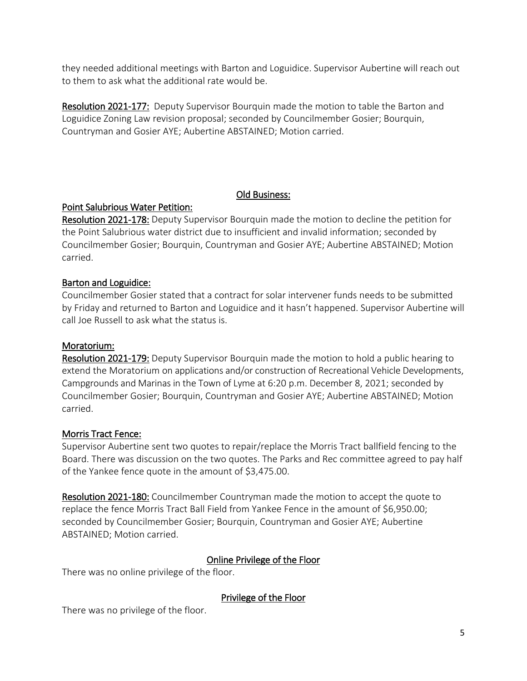they needed additional meetings with Barton and Loguidice. Supervisor Aubertine will reach out to them to ask what the additional rate would be.

Resolution 2021-177: Deputy Supervisor Bourquin made the motion to table the Barton and Loguidice Zoning Law revision proposal; seconded by Councilmember Gosier; Bourquin, Countryman and Gosier AYE; Aubertine ABSTAINED; Motion carried.

## Old Business:

## Point Salubrious Water Petition:

Resolution 2021-178: Deputy Supervisor Bourquin made the motion to decline the petition for the Point Salubrious water district due to insufficient and invalid information; seconded by Councilmember Gosier; Bourquin, Countryman and Gosier AYE; Aubertine ABSTAINED; Motion carried.

## Barton and Loguidice:

Councilmember Gosier stated that a contract for solar intervener funds needs to be submitted by Friday and returned to Barton and Loguidice and it hasn't happened. Supervisor Aubertine will call Joe Russell to ask what the status is.

## Moratorium:

Resolution 2021-179: Deputy Supervisor Bourquin made the motion to hold a public hearing to extend the Moratorium on applications and/or construction of Recreational Vehicle Developments, Campgrounds and Marinas in the Town of Lyme at 6:20 p.m. December 8, 2021; seconded by Councilmember Gosier; Bourquin, Countryman and Gosier AYE; Aubertine ABSTAINED; Motion carried.

## Morris Tract Fence:

Supervisor Aubertine sent two quotes to repair/replace the Morris Tract ballfield fencing to the Board. There was discussion on the two quotes. The Parks and Rec committee agreed to pay half of the Yankee fence quote in the amount of \$3,475.00.

Resolution 2021-180: Councilmember Countryman made the motion to accept the quote to replace the fence Morris Tract Ball Field from Yankee Fence in the amount of \$6,950.00; seconded by Councilmember Gosier; Bourquin, Countryman and Gosier AYE; Aubertine ABSTAINED; Motion carried.

## Online Privilege of the Floor

There was no online privilege of the floor.

Privilege of the Floor

There was no privilege of the floor.